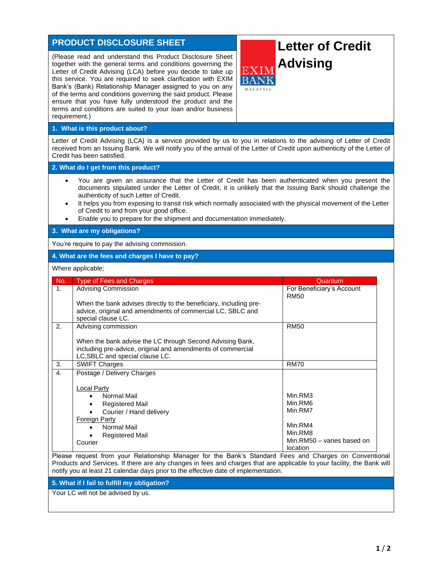# **PRODUCT DISCLOSURE SHEET**

(Please read and understand this Product Disclosure Sheet together with the general terms and conditions governing the Letter of Credit Advising (LCA) before you decide to take up this service. You are required to seek clarification with EXIM Bank's (Bank) Relationship Manager assigned to you on any of the terms and conditions governing the said product. Please ensure that you have fully understood the product and the terms and conditions are suited to your loan and/or business requirement.)

# **Letter of Credit Advising**

### **1. What is this product about?**

Letter of Credit Advising (LCA) is a service provided by us to you in relations to the advising of Letter of Credit received from an Issuing Bank. We will notify you of the arrival of the Letter of Credit upon authenticity of the Letter of Credit has been satisfied.

### **2. What do I get from this product?**

- You are given an assurance that the Letter of Credit has been authenticated when you present the documents stipulated under the Letter of Credit, it is unlikely that the Issuing Bank should challenge the authenticity of such Letter of Credit.
- It helps you from exposing to transit risk which normally associated with the physical movement of the Letter of Credit to and from your good office.
- Enable you to prepare for the shipment and documentation immediately.

#### **3. What are my obligations?**

You're require to pay the advising commission.

#### **4. What are the fees and charges I have to pay?**

Where applicable;

| No.                   | <b>Type of Fees and Charges</b>                                                                                                                             | Quantum                                  |
|-----------------------|-------------------------------------------------------------------------------------------------------------------------------------------------------------|------------------------------------------|
| 1 <sub>1</sub>        | <b>Advising Commission</b>                                                                                                                                  | For Beneficiary's Account<br><b>RM50</b> |
|                       | When the bank advises directly to the beneficiary, including pre-<br>advice, original and amendments of commercial LC, SBLC and<br>special clause LC.       |                                          |
| $\mathcal{P}_{\cdot}$ | Advising commission                                                                                                                                         | <b>RM50</b>                              |
|                       | When the bank advise the LC through Second Advising Bank,<br>including pre-advice, original and amendments of commercial<br>LC, SBLC and special clause LC. |                                          |
| 3.                    | <b>SWIFT Charges</b>                                                                                                                                        | <b>RM70</b>                              |
| 4.                    | Postage / Delivery Charges                                                                                                                                  |                                          |
|                       | Local Party<br>Normal Mail<br><b>Registered Mail</b><br>Courier / Hand delivery<br><b>Foreign Party</b><br>Normal Mail                                      | Min.RM3<br>Min.RM6<br>Min.RM7<br>Min.RM4 |
|                       | <b>Registered Mail</b>                                                                                                                                      | Min.RM8                                  |
|                       | Courier                                                                                                                                                     | Min.RM50 - varies based on<br>location   |

Please request from your Relationship Manager for the Bank's Standard Fees and Charges on Conventional Products and Services. If there are any changes in fees and charges that are applicable to your facility, the Bank will notify you at least 21 calendar days prior to the effective date of implementation.

#### **5. What if I fail to fulfill my obligation?**

Your LC will not be advised by us.